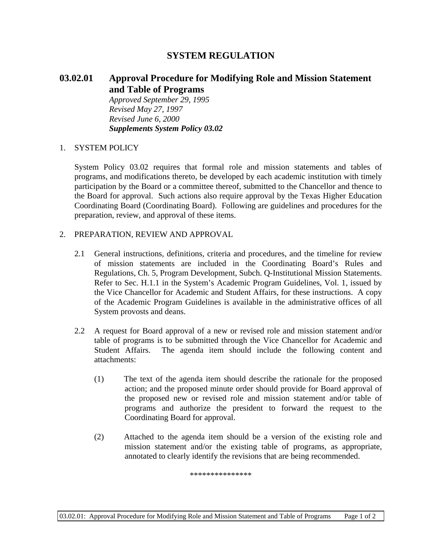## **SYSTEM REGULATION**

# **03.02.01 Approval Procedure for Modifying Role and Mission Statement and Table of Programs**

*Approved September 29, 1995 Revised May 27, 1997 Revised June 6, 2000 Supplements System Policy 03.02*

#### 1. SYSTEM POLICY

System Policy 03.02 requires that formal role and mission statements and tables of programs, and modifications thereto, be developed by each academic institution with timely participation by the Board or a committee thereof, submitted to the Chancellor and thence to the Board for approval. Such actions also require approval by the Texas Higher Education Coordinating Board (Coordinating Board). Following are guidelines and procedures for the preparation, review, and approval of these items.

### 2. PREPARATION, REVIEW AND APPROVAL

- 2.1 General instructions, definitions, criteria and procedures, and the timeline for review of mission statements are included in the Coordinating Board's Rules and Regulations, Ch. 5, Program Development, Subch. Q-Institutional Mission Statements. Refer to Sec. H.1.1 in the System's Academic Program Guidelines, Vol. 1, issued by the Vice Chancellor for Academic and Student Affairs, for these instructions. A copy of the Academic Program Guidelines is available in the administrative offices of all System provosts and deans.
- 2.2 A request for Board approval of a new or revised role and mission statement and/or table of programs is to be submitted through the Vice Chancellor for Academic and Student Affairs. The agenda item should include the following content and attachments:
	- (1) The text of the agenda item should describe the rationale for the proposed action; and the proposed minute order should provide for Board approval of the proposed new or revised role and mission statement and/or table of programs and authorize the president to forward the request to the Coordinating Board for approval.
	- (2) Attached to the agenda item should be a version of the existing role and mission statement and/or the existing table of programs, as appropriate, annotated to clearly identify the revisions that are being recommended.

\*\*\*\*\*\*\*\*\*\*\*\*\*\*\*